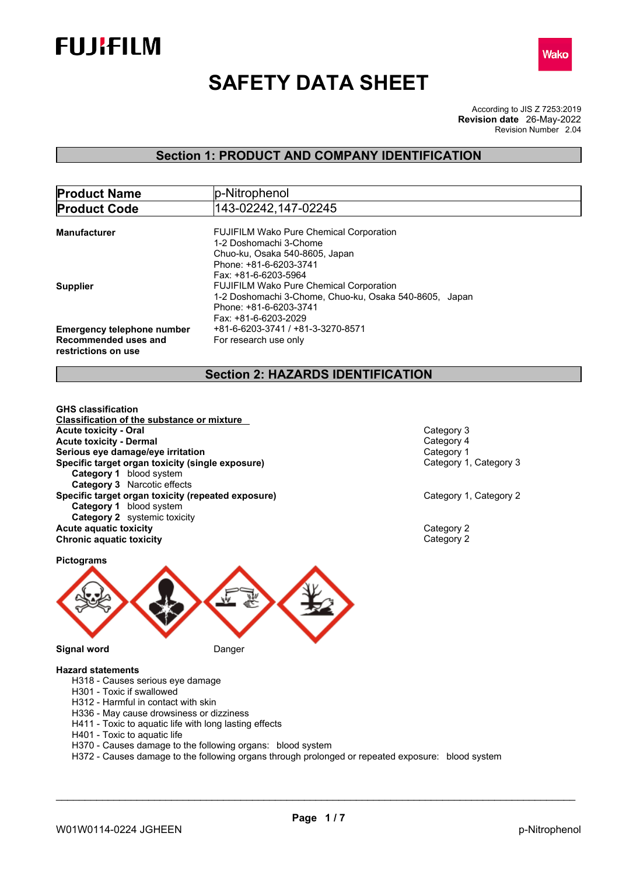



# **SAFETY DATA SHEET**

According to JIS Z 7253:2019 Revision Number 2.04 **Revision date** 26-May-2022

### **Section 1: PRODUCT AND COMPANY IDENTIFICATION**

| <b>Product Name</b>                         | p-Nitrophenol                                          |
|---------------------------------------------|--------------------------------------------------------|
| <b>Product Code</b>                         | 143-02242,147-02245                                    |
|                                             |                                                        |
| <b>Manufacturer</b>                         | <b>FUJIFILM Wako Pure Chemical Corporation</b>         |
|                                             | 1-2 Doshomachi 3-Chome                                 |
|                                             | Chuo-ku, Osaka 540-8605, Japan                         |
|                                             | Phone: +81-6-6203-3741                                 |
|                                             | Fax: +81-6-6203-5964                                   |
| <b>Supplier</b>                             | <b>FUJIFILM Wako Pure Chemical Corporation</b>         |
|                                             | 1-2 Doshomachi 3-Chome, Chuo-ku, Osaka 540-8605, Japan |
|                                             | Phone: +81-6-6203-3741                                 |
|                                             | Fax: +81-6-6203-2029                                   |
| <b>Emergency telephone number</b>           | +81-6-6203-3741 / +81-3-3270-8571                      |
| Recommended uses and<br>restrictions on use | For research use only                                  |

### **Section 2: HAZARDS IDENTIFICATION**

**GHS classification Classification of the substance or mixture Acute toxicity - Oral Category 3**<br> **Acute toxicity - Dermal** Category 4 **Acute toxicity - Dermal** Category 4 **Serious eye damage/eye irritation**<br> **Specific target organ toxicity (single exposure)**<br>
Category 1, Category 3 **Specific target organ toxicity (single exposure) Category 1** blood system **Category 3** Narcotic effects **Specific target organ toxicity (repeated exposure) Category 1, Category 2 Category 2 Category 1** blood system **Category 2** systemic toxicity **Acute aquatic toxicity** Category 2 **Chronic aquatic toxicity** Category 2



#### **Hazard statements**

- H318 Causes serious eye damage
- H301 Toxic if swallowed
- H312 Harmful in contact with skin
- H336 May cause drowsiness or dizziness
- H411 Toxic to aquatic life with long lasting effects
- H401 Toxic to aquatic life
- H370 Causes damage to the following organs: blood system
- H372 Causes damage to the following organs through prolonged or repeated exposure: blood system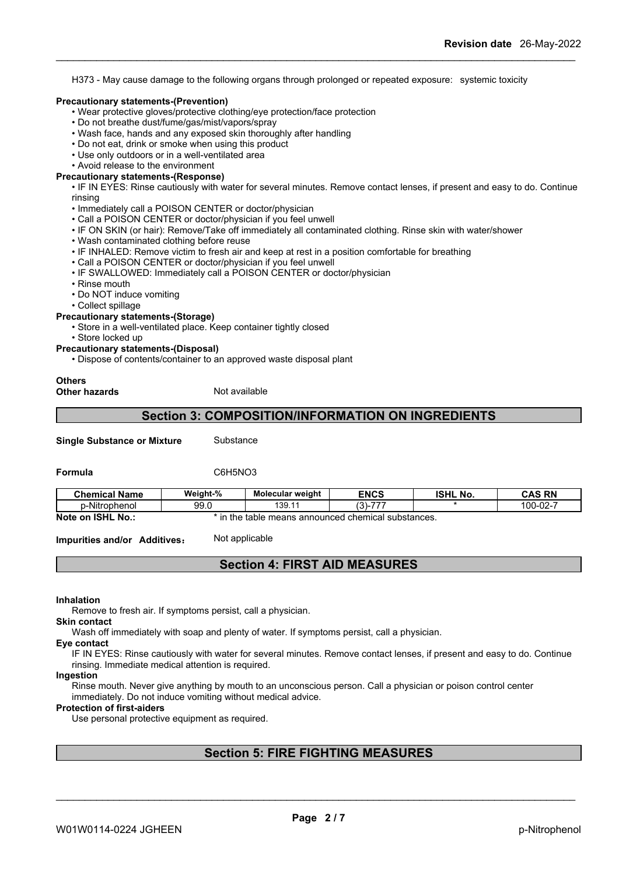H373 - May cause damage to the following organs through prolonged or repeated exposure: systemic toxicity

#### **Precautionary statements-(Prevention)**

- Wear protective gloves/protective clothing/eye protection/face protection
- Do not breathe dust/fume/gas/mist/vapors/spray
- Wash face, hands and any exposed skin thoroughly after handling
- Do not eat, drink or smoke when using this product
- Use only outdoors or in a well-ventilated area
- Avoid release to the environment

### **Precautionary statements-(Response)**

• IF IN EYES: Rinse cautiously with water for several minutes. Remove contact lenses, if present and easy to do. Continue rinsing

- Immediately call a POISON CENTER or doctor/physician
- Call a POISON CENTER or doctor/physician if you feel unwell
- IF ON SKIN (or hair): Remove/Take off immediately all contaminated clothing. Rinse skin with water/shower
- Wash contaminated clothing before reuse
- IF INHALED: Remove victim to fresh air and keep at rest in a position comfortable for breathing
- Call a POISON CENTER or doctor/physician if you feel unwell
- IF SWALLOWED: Immediately call a POISON CENTER or doctor/physician
- Rinse mouth
- Do NOT induce vomiting
- Collect spillage

#### **Precautionary statements-(Storage)**

- Store in a well-ventilated place. Keep container tightly closed
- Store locked up
- **Precautionary statements-(Disposal)**
	- Dispose of contents/container to an approved waste disposal plant

#### **Others Other hazards** Not available

### **Section 3: COMPOSITION/INFORMATION ON INGREDIENTS**

**Single Substance or Mixture** Substance

### **Formula** C6H5NO3

| <b>Chemical Name</b>                    | Weight-% | Molecular weight            | <b>ENCS</b>             | <b>ISHL</b><br>.No. | <b>CAS RN</b>      |
|-----------------------------------------|----------|-----------------------------|-------------------------|---------------------|--------------------|
| .<br>p-Nitrophenol                      | 99.0     | 139.1                       | (0)<br>$- - -$<br>- د ت |                     | -02-<br>۱∩∩<br>UU- |
| <b>Note</b><br><b>ISHL</b><br>No<br>.on | the      | announced<br>means<br>table | d chemical substances.  |                     |                    |

**Impurities and/or Additives:** Not applicable

### **Section 4: FIRST AID MEASURES**

**Inhalation**

Remove to fresh air. If symptoms persist, call a physician.

**Skin contact**

Wash off immediately with soap and plenty of water. If symptoms persist, call a physician.

#### **Eye contact**

IF IN EYES: Rinse cautiously with water for several minutes. Remove contact lenses, if present and easy to do. Continue rinsing. Immediate medical attention is required.

#### **Ingestion**

Rinse mouth. Never give anything by mouth to an unconscious person. Call a physician or poison control center immediately. Do not induce vomiting without medical advice.

#### **Protection of first-aiders**

Use personal protective equipment as required.

### **Section 5: FIRE FIGHTING MEASURES**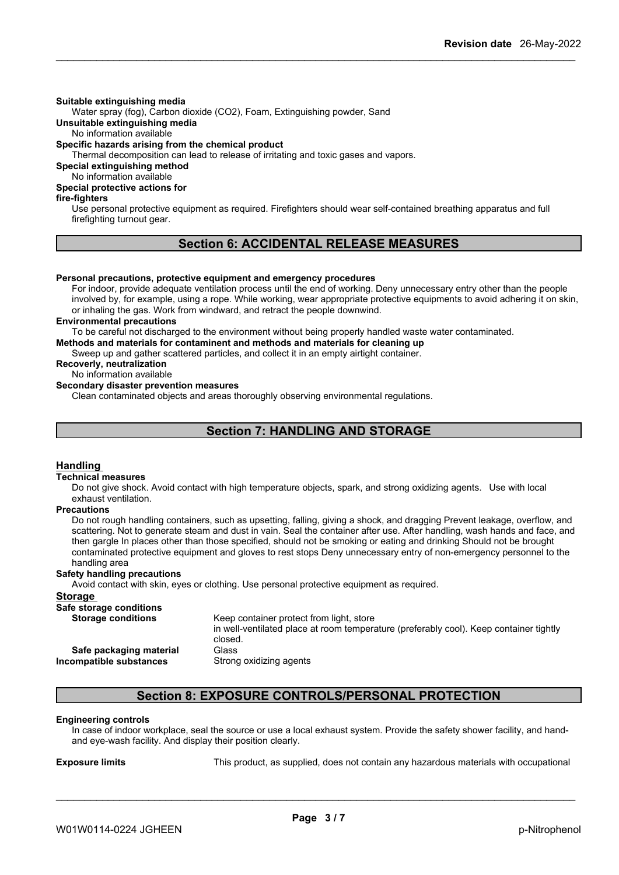#### **Suitable extinguishing media**

Water spray (fog), Carbon dioxide (CO2), Foam, Extinguishing powder, Sand

**Unsuitable extinguishing media**

No information available

#### **Specific hazards arising from the chemical product**

Thermal decomposition can lead to release of irritating and toxic gases and vapors.

**Special extinguishing method**

No information available

### **Special protective actions for**

#### **fire-fighters**

Use personal protective equipment as required.Firefighters should wear self-contained breathing apparatus and full firefighting turnout gear.

### **Section 6: ACCIDENTAL RELEASE MEASURES**

### **Personal precautions, protective equipment and emergency procedures**

For indoor, provide adequate ventilation process until the end of working. Deny unnecessary entry other than the people involved by, for example, using a rope. While working, wear appropriate protective equipments to avoid adhering it on skin, or inhaling the gas. Work from windward, and retract the people downwind.

#### **Environmental precautions**

To be careful not discharged to the environment without being properly handled waste water contaminated.

**Methods and materials for contaminent and methods and materials for cleaning up**

Sweep up and gather scattered particles, and collect it in an empty airtight container.

#### **Recoverly, neutralization** No information available

### **Secondary disaster prevention measures**

Clean contaminated objects and areas thoroughly observing environmental regulations.

### **Section 7: HANDLING AND STORAGE**

#### **Handling**

#### **Technical measures**

Do not give shock. Avoid contact with high temperature objects, spark, and strong oxidizing agents. Use with local exhaust ventilation.

#### **Precautions**

Do not rough handling containers, such as upsetting, falling, giving a shock, and dragging Prevent leakage, overflow, and scattering. Not to generate steam and dust in vain. Seal the container after use. After handling, wash hands and face, and then gargle In places other than those specified, should not be smoking or eating and drinking Should not be brought contaminated protective equipment and gloves to rest stops Deny unnecessary entry of non-emergency personnel to the handling area

#### **Safety handling precautions**

Avoid contact with skin, eyes or clothing. Use personal protective equipment as required.

#### **Storage Safe storage conditions** Keep container protect from light, store in well-ventilated place at room temperature (preferably cool). Keep container tightly closed. **Safe packaging material** Glass **Incompatible substances** Strong oxidizing agents

### **Section 8: EXPOSURE CONTROLS/PERSONAL PROTECTION**

#### **Engineering controls**

In case of indoor workplace, seal the source or use a local exhaust system. Provide the safety shower facility, and handand eye-wash facility. And display their position clearly.

**Exposure limits** This product, as supplied, does not contain any hazardous materials with occupational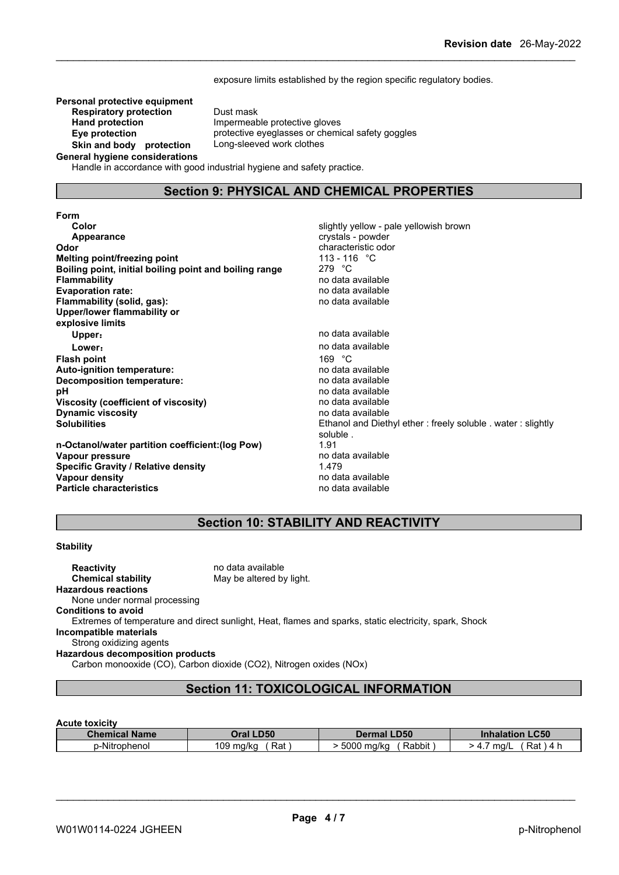exposure limits established by the region specific regulatory bodies.

**Personal protective equipment**<br>**Respiratory protection** Dust mask **Respiratory protection**<br>Hand protection **Skin** and body protection **General hygiene considerations**

**Impermeable protective gloves Eye protection** protective eyeglasses or chemical safety goggles<br> **Skin and body protection** Long-sleeved work clothes

Handle in accordance with good industrial hygiene and safety practice.

### **Section 9: PHYSICAL AND CHEMICAL PROPERTIES**

| slightly yellow - pale yellowish brown                      |
|-------------------------------------------------------------|
| crystals - powder                                           |
| characteristic odor                                         |
| 113 - 116 $\degree$ C                                       |
| 279 $^{\circ}$ C                                            |
| no data available                                           |
| no data available                                           |
| no data available                                           |
|                                                             |
|                                                             |
| no data available                                           |
| no data available                                           |
| 169 $°C$                                                    |
| no data available                                           |
| no data available                                           |
| no data available                                           |
| no data available                                           |
| no data available                                           |
| Ethanol and Diethyl ether: freely soluble . water: slightly |
| soluble.                                                    |
| 1.91                                                        |
| no data available                                           |
| 1.479                                                       |
| no data available                                           |
| no data available                                           |
|                                                             |

### **Section 10: STABILITY AND REACTIVITY**

#### **Stability**

**Reactivity Reactivity Reactivity Chemical stability no data available Chemical stability** May be altered by light. **Hazardous reactions** None under normal processing **Conditions to avoid** Extremes of temperature and direct sunlight, Heat, flames and sparks, static electricity, spark, Shock **Incompatible materials** Strong oxidizing agents **Hazardous decomposition products** Carbon monooxide (CO), Carbon dioxide (CO2), Nitrogen oxides (NOx)

### **Section 11: TOXICOLOGICAL INFORMATION**

#### **Acute toxicity**

| <b>Chemical Name</b> | <b>.D50</b>      | LD50                           | $\mathsf{L}$ C50      |
|----------------------|------------------|--------------------------------|-----------------------|
|                      | <b>Dral</b>      | Dermal                         | <b>Inhalation</b>     |
| .<br>p-Nitrophenol   | 109 ma/ka<br>Rat | .<br>5000<br>) ma/ka<br>Rabbit | Rat<br>ma/L<br>4<br>≖ |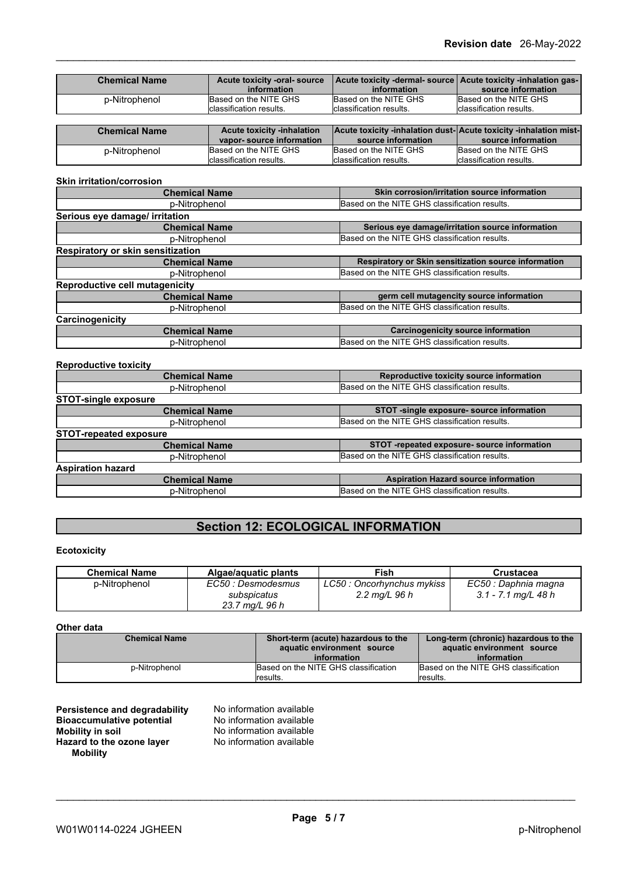| <b>Chemical Name</b> | Acute toxicity -oral- source      | Acute toxicity -dermal- source   Acute toxicity -inhalation gas- |                          |
|----------------------|-----------------------------------|------------------------------------------------------------------|--------------------------|
|                      | information                       | information                                                      | source information       |
| p-Nitrophenol        | Based on the NITE GHS             | Based on the NITE GHS                                            | Based on the NITE GHS    |
|                      | classification results.           | classification results.                                          | Iclassification results. |
|                      |                                   |                                                                  |                          |
|                      |                                   |                                                                  |                          |
| <b>Chemical Name</b> | <b>Acute toxicity -inhalation</b> | Acute toxicity -inhalation dust-Acute toxicity -inhalation mist- |                          |
|                      | vapor-source information          | source information                                               | source information       |
| p-Nitrophenol        | Based on the NITE GHS             | Based on the NITE GHS                                            | Based on the NITE GHS    |

#### **Skin irritation/corrosion**

| <b>Chemical Name</b>              | Skin corrosion/irritation source information         |
|-----------------------------------|------------------------------------------------------|
| p-Nitrophenol                     | Based on the NITE GHS classification results.        |
| Serious eye damage/ irritation    |                                                      |
| <b>Chemical Name</b>              | Serious eye damage/irritation source information     |
| p-Nitrophenol                     | Based on the NITE GHS classification results.        |
| Respiratory or skin sensitization |                                                      |
| <b>Chemical Name</b>              | Respiratory or Skin sensitization source information |
| p-Nitrophenol                     | Based on the NITE GHS classification results.        |
| Reproductive cell mutagenicity    |                                                      |
| <b>Chemical Name</b>              | germ cell mutagencity source information             |
| p-Nitrophenol                     | Based on the NITE GHS classification results.        |
| Carcinogenicity                   |                                                      |
| <b>Chemical Name</b>              | <b>Carcinogenicity source information</b>            |
| p-Nitrophenol                     | Based on the NITE GHS classification results.        |

#### **Reproductive toxicity**

| Reproductive toxicity source information      |
|-----------------------------------------------|
| Based on the NITE GHS classification results. |
|                                               |
| STOT -single exposure- source information     |
| Based on the NITE GHS classification results. |
|                                               |
| STOT-repeated exposure- source information    |
| Based on the NITE GHS classification results. |
|                                               |
| <b>Aspiration Hazard source information</b>   |
| Based on the NITE GHS classification results. |
|                                               |

## **Section 12: ECOLOGICAL INFORMATION**

#### **Ecotoxicity**

| <b>Chemical Name</b> | Algae/aguatic plants | Fish                       | Crustacea            |
|----------------------|----------------------|----------------------------|----------------------|
| p-Nitrophenol        | EC50 : Desmodesmus   | LC50 : Oncorhynchus mykiss | EC50 : Daphnia magna |
|                      | subspicatus          | 2.2 mg/L 96 h              | 3.1 - 7.1 mg/L 48 h  |
|                      | 23.7 mg/L 96 h       |                            |                      |

#### **Other data**

| <b>Chemical Name</b> | Short-term (acute) hazardous to the<br>aquatic environment source<br>information | Long-term (chronic) hazardous to the<br>aquatic environment source<br>information |
|----------------------|----------------------------------------------------------------------------------|-----------------------------------------------------------------------------------|
| p-Nitrophenol        | Based on the NITE GHS classification                                             | Based on the NITE GHS classification                                              |
|                      | lresults.                                                                        | results.                                                                          |

| Persistence and degradability    | No information available |
|----------------------------------|--------------------------|
| <b>Bioaccumulative potential</b> | No information available |
| Mobility in soil                 | No information available |
| Hazard to the ozone layer        | No information available |
| <b>Mobility</b>                  |                          |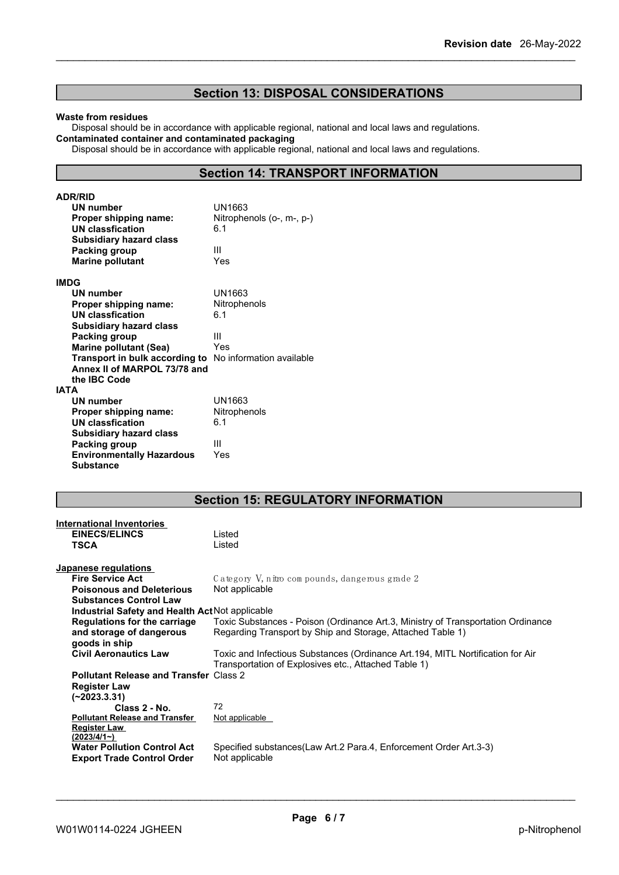### **Section 13: DISPOSAL CONSIDERATIONS**

#### **Waste from residues**

Disposal should be in accordance with applicable regional, national and local laws and regulations. **Contaminated container and contaminated packaging**

Disposal should be in accordance with applicable regional, national and local laws and regulations.

### **Section 14: TRANSPORT INFORMATION**

| <b>ADR/RID</b>                                          |                           |
|---------------------------------------------------------|---------------------------|
| UN number                                               | UN1663                    |
| Proper shipping name:                                   | Nitrophenols (o-, m-, p-) |
| UN classfication                                        | 6.1                       |
| <b>Subsidiary hazard class</b>                          |                           |
| Packing group                                           | Ш                         |
| <b>Marine pollutant</b>                                 | Yes                       |
| <b>IMDG</b>                                             |                           |
| <b>UN number</b>                                        | UN1663                    |
| Proper shipping name:                                   | Nitrophenols              |
| <b>UN classfication</b>                                 | 6.1                       |
| <b>Subsidiary hazard class</b>                          |                           |
| Packing group                                           | Ш                         |
| <b>Marine pollutant (Sea)</b>                           | Yes                       |
| Transport in bulk according to No information available |                           |
| Annex II of MARPOL 73/78 and                            |                           |
| the IBC Code                                            |                           |
| <b>IATA</b>                                             |                           |
| UN number                                               | UN1663                    |
| Proper shipping name:                                   | Nitrophenols              |
| <b>UN classfication</b>                                 | 6.1                       |
| <b>Subsidiary hazard class</b>                          |                           |
| Packing group                                           | Ш                         |
| <b>Environmentally Hazardous</b>                        | Yes                       |
| <b>Substance</b>                                        |                           |

### **Section 15: REGULATORY INFORMATION**

| <b>International Inventories</b>                |                                                                                  |
|-------------------------------------------------|----------------------------------------------------------------------------------|
| <b>EINECS/ELINCS</b>                            | Listed                                                                           |
| <b>TSCA</b>                                     | Listed                                                                           |
|                                                 |                                                                                  |
| Japanese regulations                            |                                                                                  |
| <b>Fire Service Act</b>                         | Category V, nitro compounds, dangerous grade 2                                   |
| <b>Poisonous and Deleterious</b>                | Not applicable                                                                   |
| <b>Substances Control Law</b>                   |                                                                                  |
| Industrial Safety and Health Act Not applicable |                                                                                  |
| <b>Regulations for the carriage</b>             | Toxic Substances - Poison (Ordinance Art.3, Ministry of Transportation Ordinance |
| and storage of dangerous                        | Regarding Transport by Ship and Storage, Attached Table 1)                       |
| goods in ship                                   |                                                                                  |
| <b>Civil Aeronautics Law</b>                    | Toxic and Infectious Substances (Ordinance Art.194, MITL Nortification for Air   |
|                                                 | Transportation of Explosives etc., Attached Table 1)                             |
| <b>Pollutant Release and Transfer Class 2</b>   |                                                                                  |
| <b>Register Law</b>                             |                                                                                  |
| $(-2023.3.31)$                                  |                                                                                  |
| Class 2 - No.                                   | 72                                                                               |
| <b>Pollutant Release and Transfer</b>           | Not applicable                                                                   |
| <b>Register Law</b>                             |                                                                                  |
| (2023/4/1)                                      |                                                                                  |
| <b>Water Pollution Control Act</b>              | Specified substances(Law Art.2 Para.4, Enforcement Order Art.3-3)                |
| <b>Export Trade Control Order</b>               | Not applicable                                                                   |
|                                                 |                                                                                  |